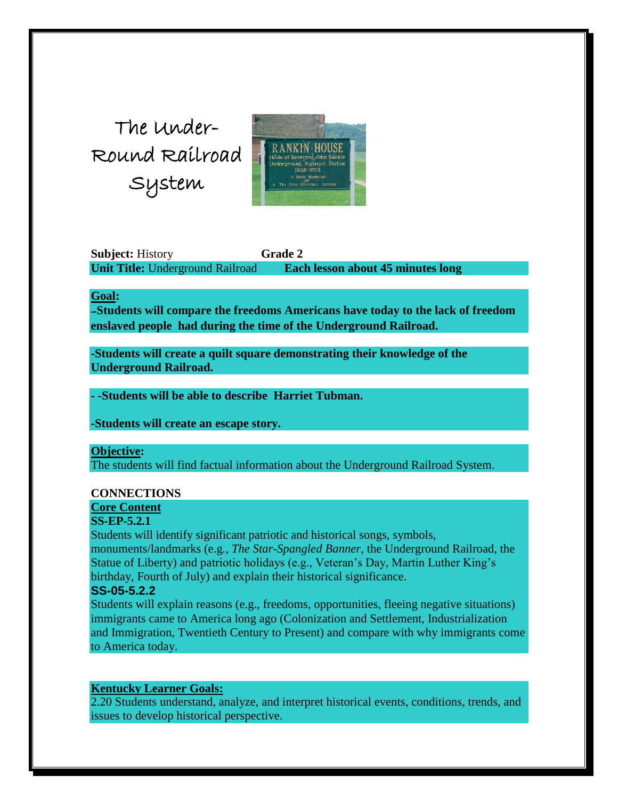The Under-Round Railroad Syste[m](http://www.nku.edu/~dallmerd/undergroundrr/lgpic_B3.html) 



**Subject:** History **Grade 2 Unit Title:** Underground Railroad **Each lesson about 45 minutes long**

#### **Goal:**

-**Students will compare the freedoms Americans have today to the lack of freedom enslaved people had during the time of the Underground Railroad.**

**-Students will create a quilt square demonstrating their knowledge of the Underground Railroad.**

**- -Students will be able to describe Harriet Tubman.**

**-Students will create an escape story.**

#### **Objective:**

The students will find factual information about the Underground Railroad System.

#### **CONNECTIONS**

# **Core Content**

# **SS-EP-5.2.1**

Students will identify significant patriotic and historical songs, symbols, monuments/landmarks (e.g*., The Star-Spangled Banner*, the Underground Railroad, the Statue of Liberty) and patriotic holidays (e.g., Veteran's Day, Martin Luther King's birthday, Fourth of July) and explain their historical significance.

## **SS-05-5.2.2**

Students will explain reasons (e.g., freedoms, opportunities, fleeing negative situations) immigrants came to America long ago (Colonization and Settlement, Industrialization and Immigration, Twentieth Century to Present) and compare with why immigrants come to America today.

### **Kentucky Learner Goals:**

2.20 Students understand, analyze, and interpret historical events, conditions, trends, and issues to develop historical perspective.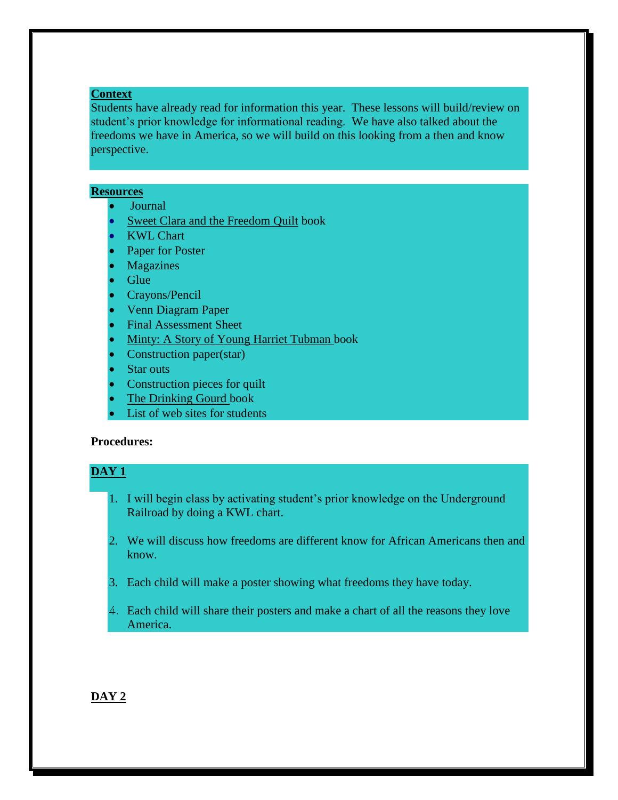## **Context**

Students have already read for information this year. These lessons will build/review on student's prior knowledge for informational reading. We have also talked about the freedoms we have in America, so we will build on this looking from a then and know perspective.

### **Resources**

- Journal
- Sweet Clara and the Freedom Quilt book
- KWL Chart
- Paper for Poster
- Magazines
- Glue
- Crayons/Pencil
- Venn Diagram Paper
- Final Assessment Sheet
- Minty: A Story of Young Harriet Tubman book
- Construction paper(star)
- Star outs
- Construction pieces for quilt
- The Drinking Gourd book
- List of web sites for students

# **Procedures:**

### **DAY 1**

- 1. I will begin class by activating student's prior knowledge on the Underground Railroad by doing a KWL chart.
- 2. We will discuss how freedoms are different know for African Americans then and know.
- 3. Each child will make a poster showing what freedoms they have today.
- 4. Each child will share their posters and make a chart of all the reasons they love America.

## **DAY 2**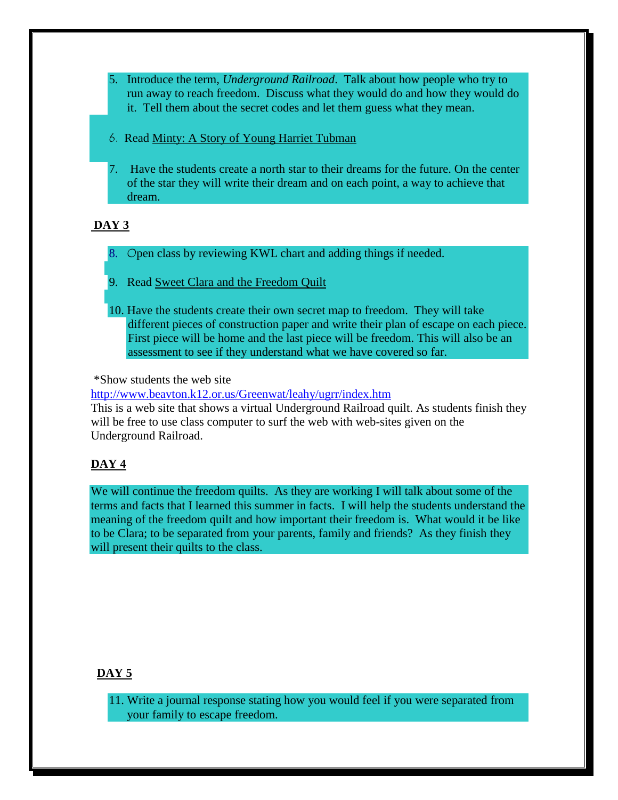- 5. Introduce the term*, Underground Railroad*. Talk about how people who try to run away to reach freedom. Discuss what they would do and how they would do it. Tell them about the secret codes and let them guess what they mean.
- 6. Read Minty: A Story of Young Harriet Tubman
- 7. Have the students create a north star to their dreams for the future. On the center of the star they will write their dream and on each point, a way to achieve that dream.

# **DAY 3**

- 8. Open class by reviewing KWL chart and adding things if needed.
- 9. Read Sweet Clara and the Freedom Quilt
- 10. Have the students create their own secret map to freedom. They will take different pieces of construction paper and write their plan of escape on each piece. First piece will be home and the last piece will be freedom. This will also be an assessment to see if they understand what we have covered so far.

\*Show students the web site

<http://www.beavton.k12.or.us/Greenwat/leahy/ugrr/index.htm>

This is a web site that shows a virtual Underground Railroad quilt. As students finish they will be free to use class computer to surf the web with web-sites given on the Underground Railroad.

# **DAY 4**

We will continue the freedom quilts. As they are working I will talk about some of the terms and facts that I learned this summer in facts. I will help the students understand the meaning of the freedom quilt and how important their freedom is. What would it be like to be Clara; to be separated from your parents, family and friends? As they finish they will present their quilts to the class.

# **DAY 5**

11. Write a journal response stating how you would feel if you were separated from your family to escape freedom.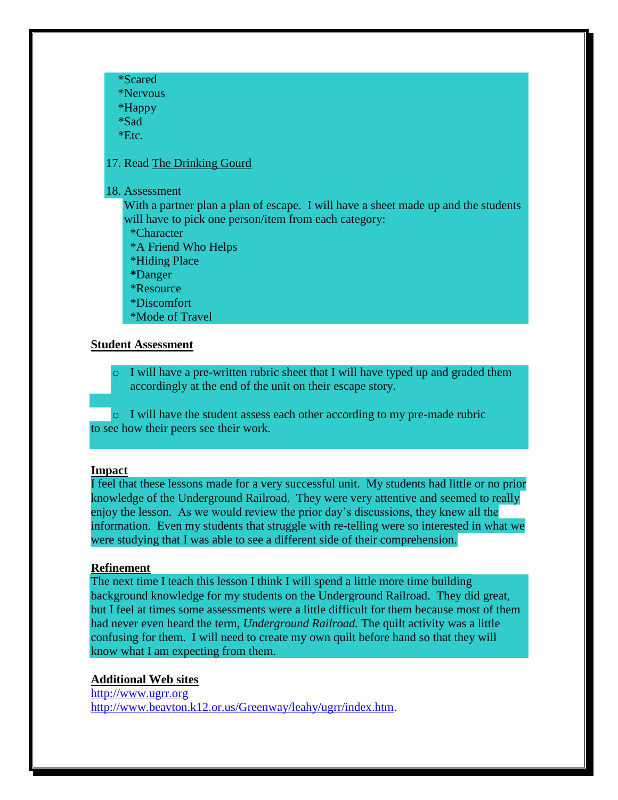\*Scared \*Nervous \*Happy \*Sad

\*Etc.

## 17. Read The Drinking Gourd

#### 18. Assessment

With a partner plan a plan of escape. I will have a sheet made up and the students will have to pick one person/item from each category:

\*Character

- \*A Friend Who Helps
- \*Hiding Place

 **\***Danger

\*Resource

\*Discomfort

\*Mode of Travel

## **Student Assessment**

o I will have a pre-written rubric sheet that I will have typed up and graded them accordingly at the end of the unit on their escape story.

o I will have the student assess each other according to my pre-made rubric to see how their peers see their work.

#### **Impact**

I feel that these lessons made for a very successful unit. My students had little or no prior knowledge of the Underground Railroad. They were very attentive and seemed to really enjoy the lesson. As we would review the prior day's discussions, they knew all the information. Even my students that struggle with re-telling were so interested in what we were studying that I was able to see a different side of their comprehension.

### **Refinement**

The next time I teach this lesson I think I will spend a little more time building background knowledge for my students on the Underground Railroad. They did great, but I feel at times some assessments were a little difficult for them because most of them had never even heard the term, *Underground Railroad.* The quilt activity was a little confusing for them. I will need to create my own quilt before hand so that they will know what I am expecting from them.

## **Additional Web sites**

[http://www.ugrr.org](http://www.ugrr.org/) [http://www.beavton.k12.or.us/Greenway/leahy/ugrr/index.htm.](http://www.beavton.k12.or.us/Greenway/leahy/ugrr/index.htm)